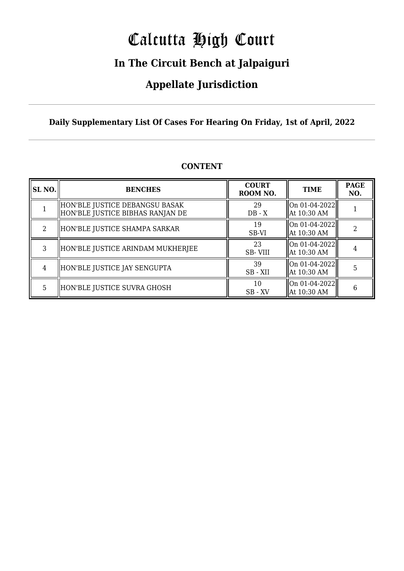# Calcutta High Court

### **In The Circuit Bench at Jalpaiguri**

### **Appellate Jurisdiction**

### **Daily Supplementary List Of Cases For Hearing On Friday, 1st of April, 2022**

| SL NO. | <b>BENCHES</b>                                                     | <b>COURT</b><br>ROOM NO. | <b>TIME</b>                                    | <b>PAGE</b><br>NO. |
|--------|--------------------------------------------------------------------|--------------------------|------------------------------------------------|--------------------|
|        | HON'BLE JUSTICE DEBANGSU BASAK<br>HON'BLE JUSTICE BIBHAS RANJAN DE | 29<br>$DB - X$           | On 01-04-2022  <br>  At 10:30 AM               |                    |
| 2      | HON'BLE JUSTICE SHAMPA SARKAR                                      | 19<br>SB-VI              | On 01-04-2022 <br>  At 10:30 AM                |                    |
| 3      | HON'BLE JUSTICE ARINDAM MUKHERJEE                                  | 23<br>SB-VIII            | On 01-04-2022 <br>  At 10:30 AM                |                    |
| 4      | HON'BLE JUSTICE JAY SENGUPTA                                       | 39<br>SB - XII           | $\vert$ On 01-04-2022 $\vert$<br>  At 10:30 AM | 5                  |
| 5      | HON'BLE JUSTICE SUVRA GHOSH                                        | 10<br>$SB - XV$          | $\vert$ On 01-04-2022 $\vert$<br>  At 10:30 AM | 6                  |

### **CONTENT**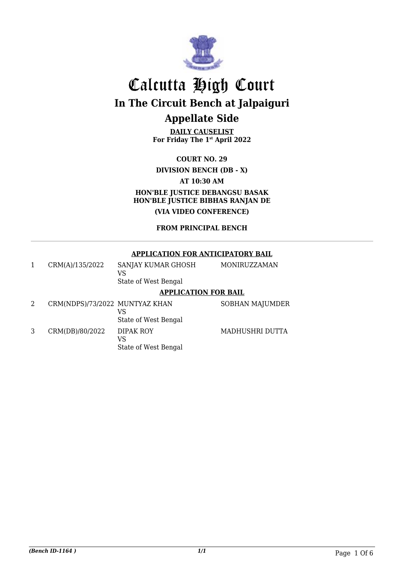

**DAILY CAUSELIST For Friday The 1st April 2022**

**COURT NO. 29 DIVISION BENCH (DB - X) AT 10:30 AM HON'BLE JUSTICE DEBANGSU BASAK HON'BLE JUSTICE BIBHAS RANJAN DE (VIA VIDEO CONFERENCE)**

### **FROM PRINCIPAL BENCH**

### **APPLICATION FOR ANTICIPATORY BAIL**

| CRM(A)/135/2022 | MONIRUZZAMAN<br>SANJAY KUMAR GHOSH<br>VS.<br>State of West Bengal |  |
|-----------------|-------------------------------------------------------------------|--|
|                 | <i><b>I DDI IO I TIONI TOD DAII</b></i>                           |  |

State of West Bengal

#### **APPLICATION FOR BAIL**

2 CRM(NDPS)/73/2022 MUNTYAZ KHAN VS State of West Bengal 3 CRM(DB)/80/2022 DIPAK ROY VS

SOBHAN MAJUMDER

MADHUSHRI DUTTA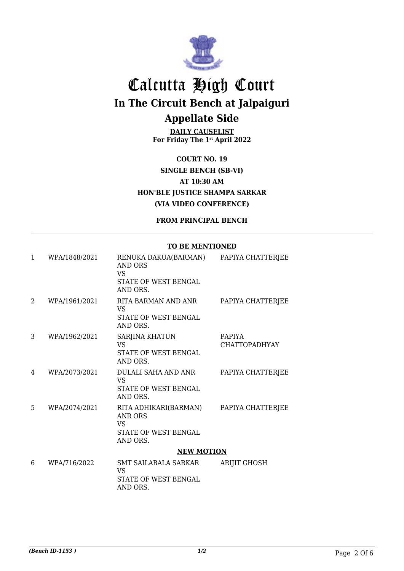

**DAILY CAUSELIST For Friday The 1st April 2022**

**COURT NO. 19 SINGLE BENCH (SB-VI) AT 10:30 AM HON'BLE JUSTICE SHAMPA SARKAR (VIA VIDEO CONFERENCE)**

**FROM PRINCIPAL BENCH**

#### **TO BE MENTIONED**

| $\mathbf{1}$   | WPA/1848/2021 | RENUKA DAKUA(BARMAN)<br>AND ORS<br><b>VS</b><br>STATE OF WEST BENGAL<br>AND ORS.         | PAPIYA CHATTERJEE                     |  |
|----------------|---------------|------------------------------------------------------------------------------------------|---------------------------------------|--|
| $\overline{2}$ | WPA/1961/2021 | RITA BARMAN AND ANR<br>VS<br>STATE OF WEST BENGAL<br>AND ORS.                            | PAPIYA CHATTERJEE                     |  |
| 3              | WPA/1962/2021 | SARJINA KHATUN<br><b>VS</b><br>STATE OF WEST BENGAL<br>AND ORS.                          | <b>PAPIYA</b><br><b>CHATTOPADHYAY</b> |  |
| 4              | WPA/2073/2021 | DULALI SAHA AND ANR<br><b>VS</b><br>STATE OF WEST BENGAL<br>AND ORS.                     | PAPIYA CHATTERJEE                     |  |
| 5              | WPA/2074/2021 | RITA ADHIKARI(BARMAN)<br>ANR ORS<br><b>VS</b><br><b>STATE OF WEST BENGAL</b><br>AND ORS. | PAPIYA CHATTERJEE                     |  |
|                |               | <b>NEW MOTION</b>                                                                        |                                       |  |
| 6              | WPA/716/2022  | <b>SMT SAILABALA SARKAR</b><br><b>VS</b><br>STATE OF WEST BENGAL<br>AND ORS.             | <b>ARIJIT GHOSH</b>                   |  |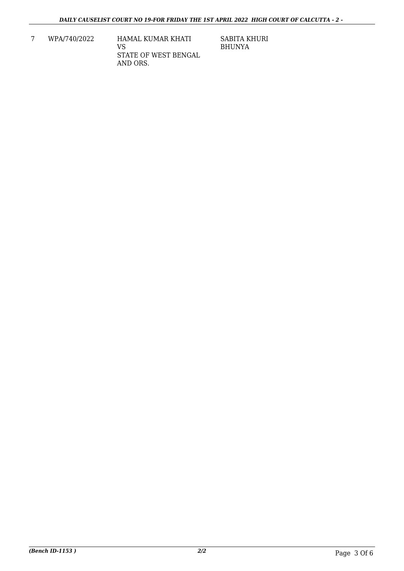7 WPA/740/2022 HAMAL KUMAR KHATI VS STATE OF WEST BENGAL AND ORS.

SABITA KHURI BHUNYA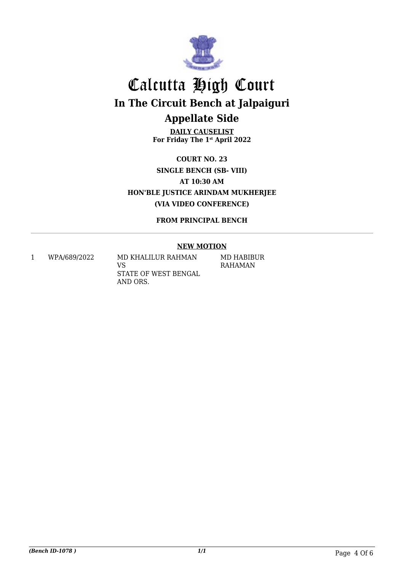

**DAILY CAUSELIST For Friday The 1st April 2022**

**COURT NO. 23 SINGLE BENCH (SB- VIII) AT 10:30 AM HON'BLE JUSTICE ARINDAM MUKHERJEE (VIA VIDEO CONFERENCE)**

**FROM PRINCIPAL BENCH**

### **NEW MOTION**

1 WPA/689/2022 MD KHALILUR RAHMAN VS STATE OF WEST BENGAL AND ORS.

MD HABIBUR RAHAMAN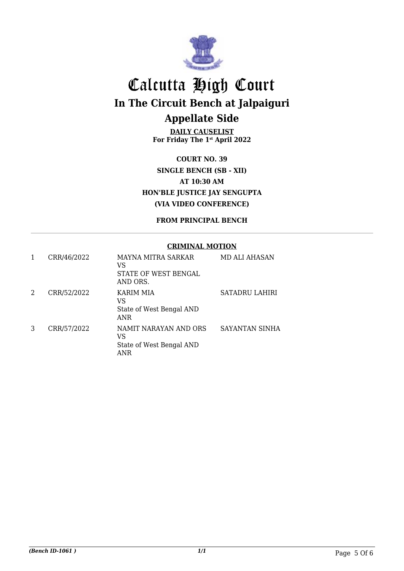

**DAILY CAUSELIST For Friday The 1st April 2022**

**COURT NO. 39 SINGLE BENCH (SB - XII) AT 10:30 AM HON'BLE JUSTICE JAY SENGUPTA (VIA VIDEO CONFERENCE)**

**FROM PRINCIPAL BENCH**

#### **CRIMINAL MOTION**

| 1 | CRR/46/2022 | MAYNA MITRA SARKAR<br>VS<br>STATE OF WEST BENGAL<br>AND ORS.     | MD ALI AHASAN  |
|---|-------------|------------------------------------------------------------------|----------------|
| 2 | CRR/52/2022 | <b>KARIM MIA</b><br>VS<br>State of West Bengal AND<br><b>ANR</b> | SATADRU LAHIRI |
| 3 | CRR/57/2022 | NAMIT NARAYAN AND ORS<br>VS<br>State of West Bengal AND<br>ANR   | SAYANTAN SINHA |